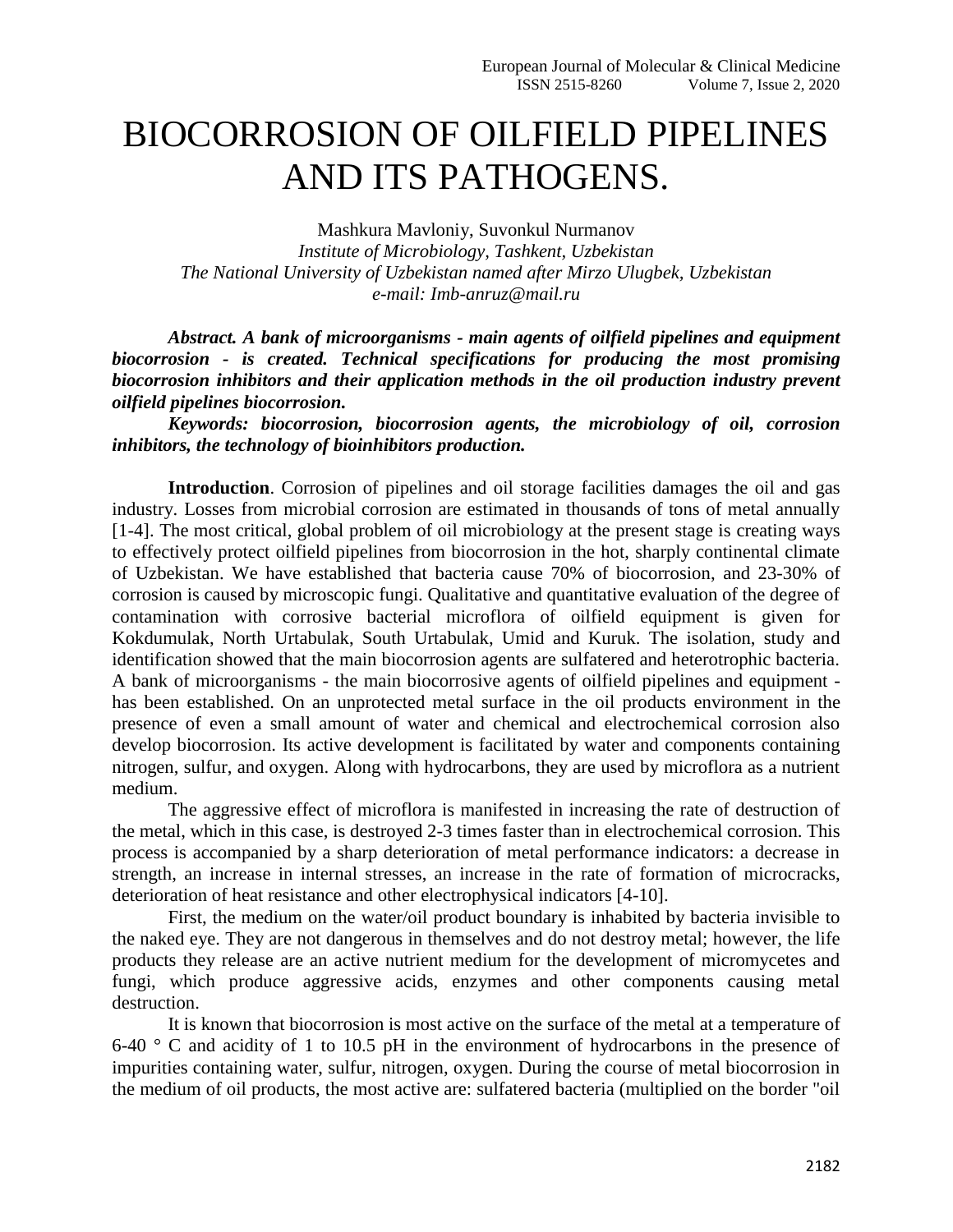## BIOCORROSION OF OILFIELD PIPELINES AND ITS PATHOGENS.

Mashkura Mavloniy, Suvonkul Nurmanov *Institute of Microbiology, Tashkent, Uzbekistan The National University of Uzbekistan named after Mirzo Ulugbek, Uzbekistan e-mail: Imb-anruz@mail.ru* 

*Abstract. A bank of microorganisms - main agents of oilfield pipelines and equipment biocorrosion - is created. Technical specifications for producing the most promising biocorrosion inhibitors and their application methods in the oil production industry prevent oilfield pipelines biocorrosion.*

*Keywords: biocorrosion, biocorrosion agents, the microbiology of oil, corrosion inhibitors, the technology of bioinhibitors production.*

**Introduction**. Corrosion of pipelines and oil storage facilities damages the oil and gas industry. Losses from microbial corrosion are estimated in thousands of tons of metal annually [1-4]. The most critical, global problem of oil microbiology at the present stage is creating ways to effectively protect oilfield pipelines from biocorrosion in the hot, sharply continental climate of Uzbekistan. We have established that bacteria cause 70% of biocorrosion, and 23-30% of corrosion is caused by microscopic fungi. Qualitative and quantitative evaluation of the degree of contamination with corrosive bacterial microflora of oilfield equipment is given for Kokdumulak, North Urtabulak, South Urtabulak, Umid and Kuruk. The isolation, study and identification showed that the main biocorrosion agents are sulfatered and heterotrophic bacteria. A bank of microorganisms - the main biocorrosive agents of oilfield pipelines and equipment has been established. On an unprotected metal surface in the oil products environment in the presence of even a small amount of water and chemical and electrochemical corrosion also develop biocorrosion. Its active development is facilitated by water and components containing nitrogen, sulfur, and oxygen. Along with hydrocarbons, they are used by microflora as a nutrient medium.

The aggressive effect of microflora is manifested in increasing the rate of destruction of the metal, which in this case, is destroyed 2-3 times faster than in electrochemical corrosion. This process is accompanied by a sharp deterioration of metal performance indicators: a decrease in strength, an increase in internal stresses, an increase in the rate of formation of microcracks, deterioration of heat resistance and other electrophysical indicators [4-10].

First, the medium on the water/oil product boundary is inhabited by bacteria invisible to the naked eye. They are not dangerous in themselves and do not destroy metal; however, the life products they release are an active nutrient medium for the development of micromycetes and fungi, which produce aggressive acids, enzymes and other components causing metal destruction.

It is known that biocorrosion is most active on the surface of the metal at a temperature of 6-40  $\degree$  C and acidity of 1 to 10.5 pH in the environment of hydrocarbons in the presence of impurities containing water, sulfur, nitrogen, oxygen. During the course of metal biocorrosion in the medium of oil products, the most active are: sulfatered bacteria (multiplied on the border "oil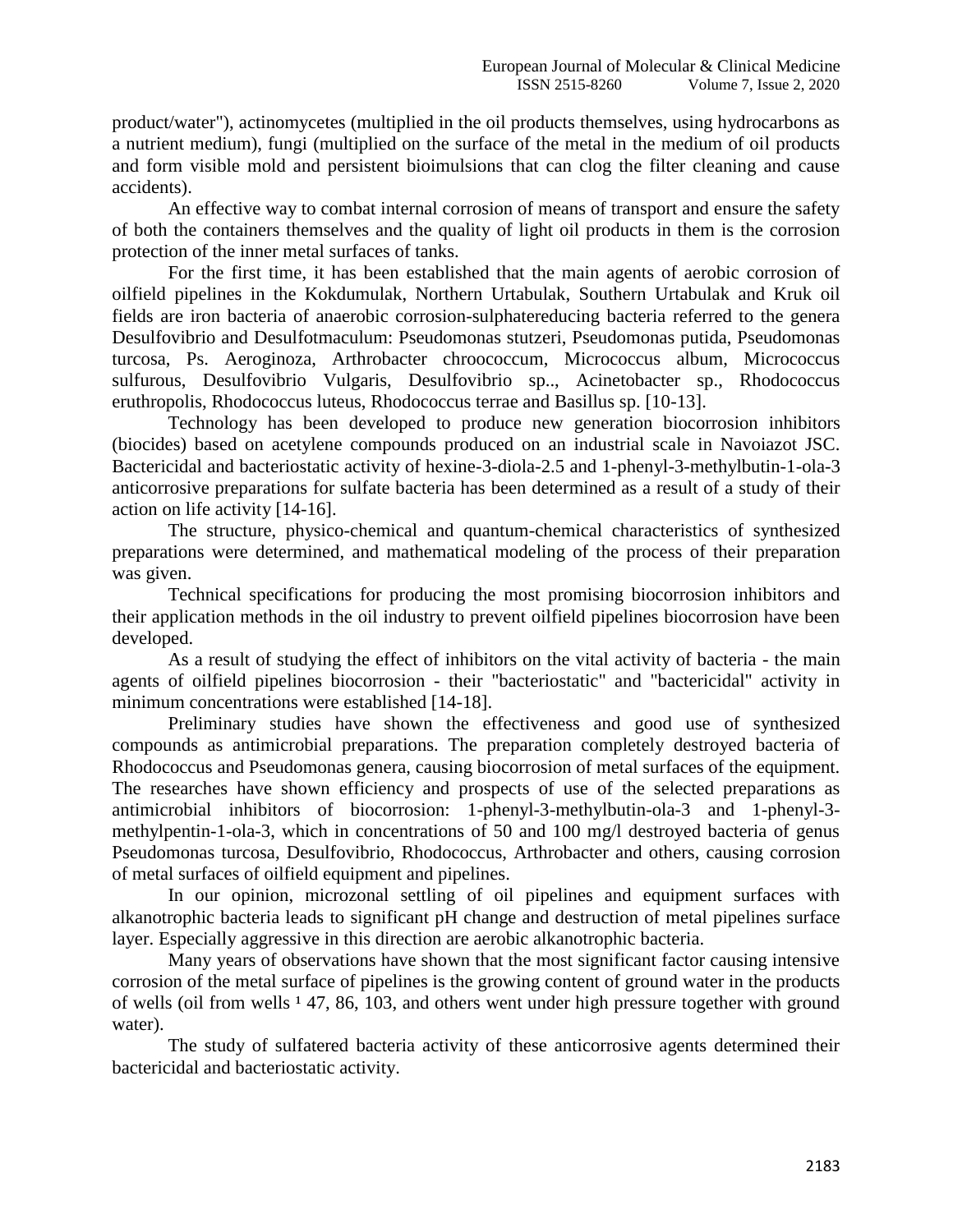product/water"), actinomycetes (multiplied in the oil products themselves, using hydrocarbons as a nutrient medium), fungi (multiplied on the surface of the metal in the medium of oil products and form visible mold and persistent bioimulsions that can clog the filter cleaning and cause accidents).

An effective way to combat internal corrosion of means of transport and ensure the safety of both the containers themselves and the quality of light oil products in them is the corrosion protection of the inner metal surfaces of tanks.

For the first time, it has been established that the main agents of aerobic corrosion of oilfield pipelines in the Kokdumulak, Northern Urtabulak, Southern Urtabulak and Kruk oil fields are iron bacteria of anaerobic corrosion-sulphatereducing bacteria referred to the genera Desulfovibrio and Desulfotmaculum: Pseudomonas stutzeri, Pseudomonas putida, Pseudomonas turcosa, Ps. Aeroginoza, Arthrobacter chroococcum, Micrococcus album, Micrococcus sulfurous, Desulfovibrio Vulgaris, Desulfovibrio sp.., Acinetobacter sp., Rhodococcus eruthropolis, Rhodococcus luteus, Rhodococcus terrae and Basillus sp. [10-13].

Technology has been developed to produce new generation biocorrosion inhibitors (biocides) based on acetylene compounds produced on an industrial scale in Navoiazot JSC. Bactericidal and bacteriostatic activity of hexine-3-diola-2.5 and 1-phenyl-3-methylbutin-1-ola-3 anticorrosive preparations for sulfate bacteria has been determined as a result of a study of their action on life activity [14-16].

The structure, physico-chemical and quantum-chemical characteristics of synthesized preparations were determined, and mathematical modeling of the process of their preparation was given.

Technical specifications for producing the most promising biocorrosion inhibitors and their application methods in the oil industry to prevent oilfield pipelines biocorrosion have been developed.

As a result of studying the effect of inhibitors on the vital activity of bacteria - the main agents of oilfield pipelines biocorrosion - their "bacteriostatic" and "bactericidal" activity in minimum concentrations were established [14-18].

Preliminary studies have shown the effectiveness and good use of synthesized compounds as antimicrobial preparations. The preparation completely destroyed bacteria of Rhodococcus and Pseudomonas genera, causing biocorrosion of metal surfaces of the equipment. The researches have shown efficiency and prospects of use of the selected preparations as antimicrobial inhibitors of biocorrosion: 1-phenyl-3-methylbutin-ola-3 and 1-phenyl-3 methylpentin-1-ola-3, which in concentrations of 50 and 100 mg/l destroyed bacteria of genus Pseudomonas turcosa, Desulfovibrio, Rhodococcus, Arthrobacter and others, causing corrosion of metal surfaces of oilfield equipment and pipelines.

In our opinion, microzonal settling of oil pipelines and equipment surfaces with alkanotrophic bacteria leads to significant pH change and destruction of metal pipelines surface layer. Especially aggressive in this direction are aerobic alkanotrophic bacteria.

Many years of observations have shown that the most significant factor causing intensive corrosion of the metal surface of pipelines is the growing content of ground water in the products of wells (oil from wells  $147$ , 86, 103, and others went under high pressure together with ground water).

The study of sulfatered bacteria activity of these anticorrosive agents determined their bactericidal and bacteriostatic activity.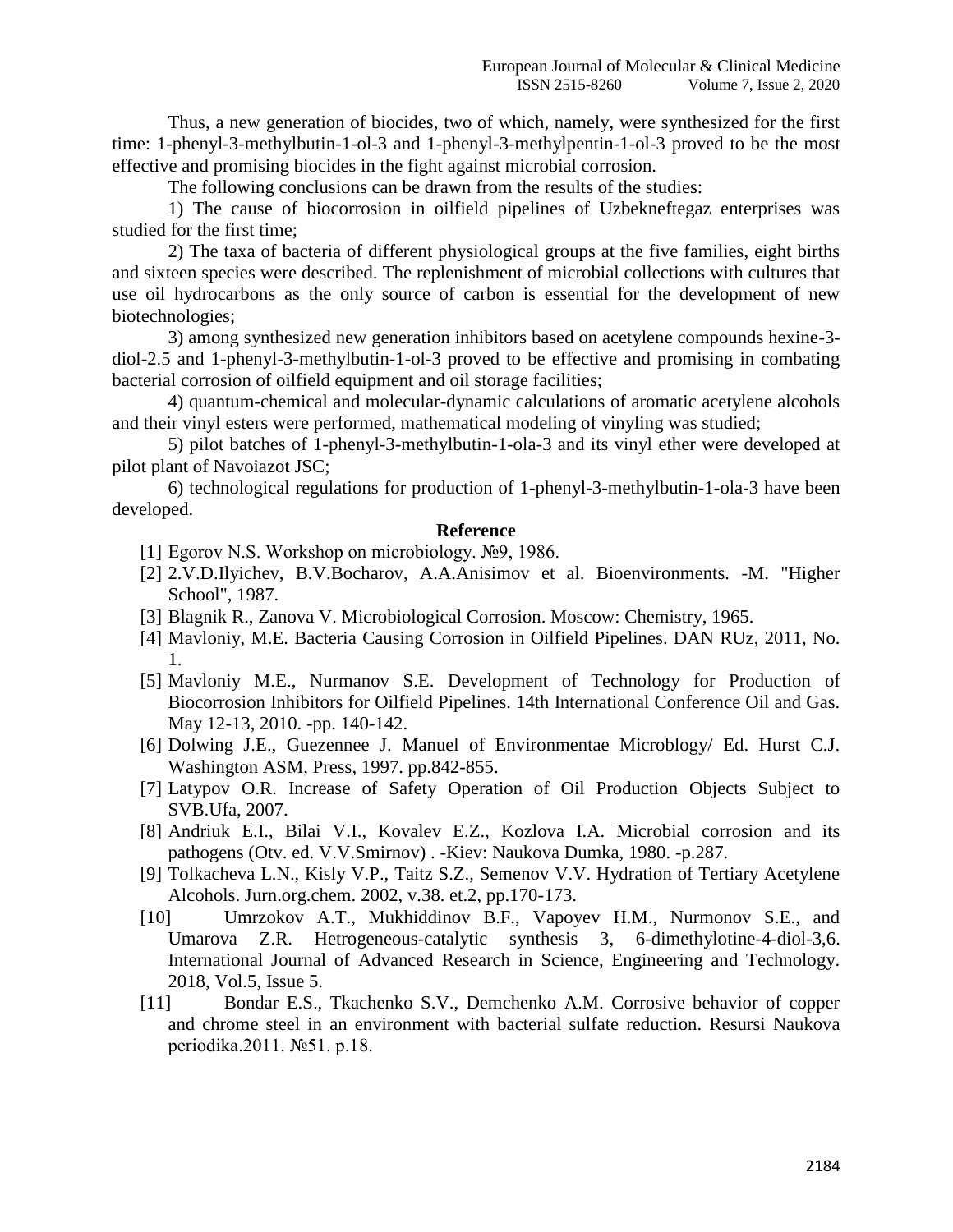Thus, a new generation of biocides, two of which, namely, were synthesized for the first time: 1-phenyl-3-methylbutin-1-ol-3 and 1-phenyl-3-methylpentin-1-ol-3 proved to be the most effective and promising biocides in the fight against microbial corrosion.

The following conclusions can be drawn from the results of the studies:

1) The cause of biocorrosion in oilfield pipelines of Uzbekneftegaz enterprises was studied for the first time;

2) The taxa of bacteria of different physiological groups at the five families, eight births and sixteen species were described. The replenishment of microbial collections with cultures that use oil hydrocarbons as the only source of carbon is essential for the development of new biotechnologies;

3) among synthesized new generation inhibitors based on acetylene compounds hexine-3 diol-2.5 and 1-phenyl-3-methylbutin-1-ol-3 proved to be effective and promising in combating bacterial corrosion of oilfield equipment and oil storage facilities;

4) quantum-chemical and molecular-dynamic calculations of aromatic acetylene alcohols and their vinyl esters were performed, mathematical modeling of vinyling was studied;

5) pilot batches of 1-phenyl-3-methylbutin-1-ola-3 and its vinyl ether were developed at pilot plant of Navoiazot JSC;

6) technological regulations for production of 1-phenyl-3-methylbutin-1-ola-3 have been developed.

## **Reference**

- [1] Egorov N.S. Workshop on microbiology. №9, 1986.
- [2] 2.V.D.Ilyichev, B.V.Bocharov, A.A.Anisimov et al. Bioenvironments. -M. "Higher School", 1987.
- [3] Blagnik R., Zanova V. Microbiological Corrosion. Moscow: Chemistry, 1965.
- [4] Mavloniy, M.E. Bacteria Causing Corrosion in Oilfield Pipelines. DAN RUz, 2011, No. 1.
- [5] Mavloniy M.E., Nurmanov S.E. Development of Technology for Production of Biocorrosion Inhibitors for Oilfield Pipelines. 14th International Conference Oil and Gas. May 12-13, 2010. -pp. 140-142.
- [6] Dolwing J.E., Guezennee J. Manuel of Environmentae Microblogy/ Ed. Hurst C.J. Washington ASM, Press, 1997. pp.842-855.
- [7] Latypov O.R. Increase of Safety Operation of Oil Production Objects Subject to SVB.Ufa, 2007.
- [8] Andriuk E.I., Bilai V.I., Kovalev E.Z., Kozlova I.A. Microbial corrosion and its pathogens (Otv. ed. V.V.Smirnov) . -Kiev: Naukova Dumka, 1980. -p.287.
- [9] Tolkacheva L.N., Kisly V.P., Taitz S.Z., Semenov V.V. Hydration of Tertiary Acetylene Alcohols. Jurn.org.chem. 2002, v.38. et.2, pp.170-173.
- [10] Umrzokov A.T., Mukhiddinov B.F., Vapoyev H.M., Nurmonov S.E., and Umarova Z.R. Hetrogeneous-catalytic synthesis 3, 6-dimethylotine-4-diol-3,6. International Journal of Advanced Research in Science, Engineering and Technology. 2018, Vol.5, Issue 5.
- [11] Bondar E.S., Tkachenko S.V., Demchenko A.M. Corrosive behavior of copper and chrome steel in an environment with bacterial sulfate reduction. Resursi Naukova periodika.2011. №51. p.18.